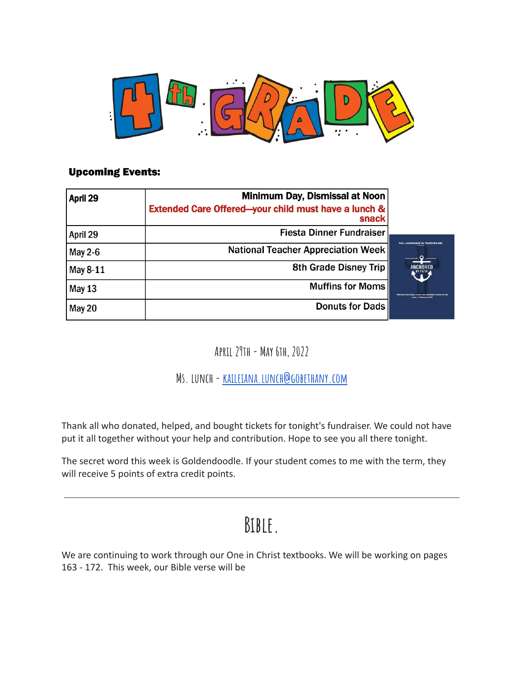

#### **Upcoming Events:**

| April 29      | Minimum Day, Dismissal at Noon                                           |                                |
|---------------|--------------------------------------------------------------------------|--------------------------------|
|               | <b>Extended Care Offered-your child must have a lunch &amp;</b><br>snack |                                |
| April 29      | <b>Fiesta Dinner Fundraiser</b>                                          |                                |
| May 2-6       | <b>National Teacher Appreciation Week</b>                                |                                |
| May 8-11      | <b>8th Grade Disney Trip</b>                                             | NCHOR<br>L <sup>by Faith</sup> |
| <b>May 13</b> | <b>Muffins for Moms</b>                                                  |                                |
| May 20        | <b>Donuts for Dads</b>                                                   |                                |

**April 29th- May 6th, 2022**

**Ms. lunch-[kaileiana.lunch@gobethany.com](mailto:kaileiana.lunch@gobethany.com)**

Thank all who donated, helped, and bought tickets for tonight's fundraiser. We could not have put it all together without your help and contribution. Hope to see you all there tonight.

The secret word this week is Goldendoodle. If your student comes to me with the term, they will receive 5 points of extra credit points.

#### **Bible.**

We are continuing to work through our One in Christ textbooks. We will be working on pages 163 - 172. This week, our Bible verse will be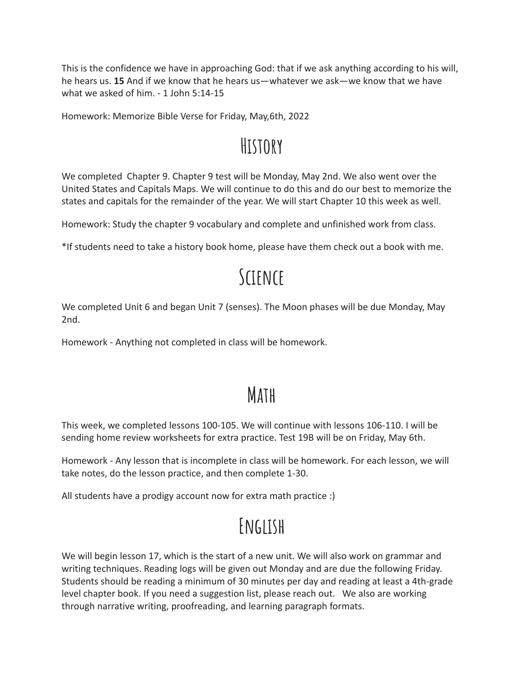This is the confidence we have in approaching God: that if we ask anything according to his will, he hears us. **15** And if we know that he hears us—whatever we ask—we know that we have what we asked of him. - 1 John 5:14-15

Homework: Memorize Bible Verse for Friday, May,6th, 2022

## **History**

We completed Chapter 9. Chapter 9 test will be Monday, May 2nd. We also went over the United States and Capitals Maps. We will continue to do this and do our best to memorize the states and capitals for the remainder of the year. We will start Chapter 10 this week as well.

Homework: Study the chapter 9 vocabulary and complete and unfinished work from class.

\*If students need to take a history book home, please have them check out a book with me.

# **Science**

We completed Unit 6 and began Unit 7 (senses). The Moon phases will be due Monday, May 2nd.

Homework - Anything not completed in class will be homework.

## **Math**

This week, we completed lessons 100-105. We will continue with lessons 106-110. I will be sending home review worksheets for extra practice. Test 19B will be on Friday, May 6th.

Homework - Any lesson that is incomplete in class will be homework. For each lesson, we will take notes, do the lesson practice, and then complete 1-30.

All students have a prodigy account now for extra math practice :)

# **English**

We will begin lesson 17, which is the start of a new unit. We will also work on grammar and writing techniques. Reading logs will be given out Monday and are due the following Friday. Students should be reading a minimum of 30 minutes per day and reading at least a 4th-grade level chapter book. If you need a suggestion list, please reach out. We also are working through narrative writing, proofreading, and learning paragraph formats.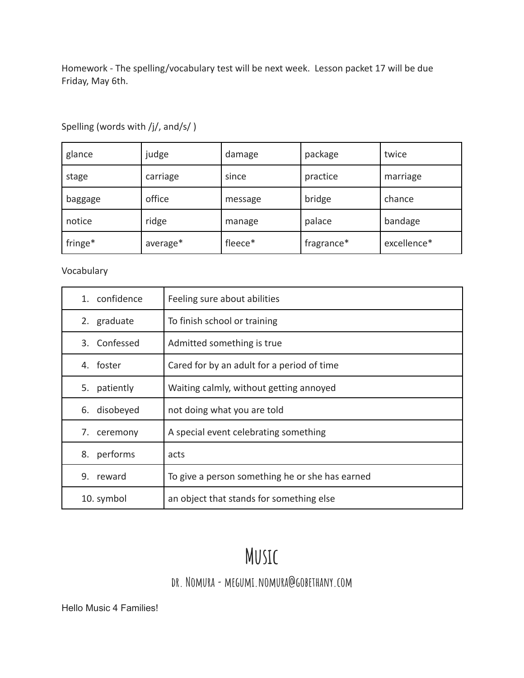Homework - The spelling/vocabulary test will be next week. Lesson packet 17 will be due Friday, May 6th.

| glance  | judge    | damage  | package    | twice       |
|---------|----------|---------|------------|-------------|
| stage   | carriage | since   | practice   | marriage    |
| baggage | office   | message | bridge     | chance      |
| notice  | ridge    | manage  | palace     | bandage     |
| fringe* | average* | fleece* | fragrance* | excellence* |

Spelling (words with /j/, and/s/ )

Vocabulary

| 1. confidence   | Feeling sure about abilities                    |
|-----------------|-------------------------------------------------|
| 2. graduate     | To finish school or training                    |
| 3. Confessed    | Admitted something is true                      |
| 4. foster       | Cared for by an adult for a period of time      |
| patiently<br>5. | Waiting calmly, without getting annoyed         |
| 6. disobeyed    | not doing what you are told                     |
| 7. ceremony     | A special event celebrating something           |
| performs<br>8.  | acts                                            |
| 9. reward       | To give a person something he or she has earned |
| 10. symbol      | an object that stands for something else        |

## **Music**

#### **dr. Nomura- megumi.nomura@gobethany.com**

Hello Music 4 Families!